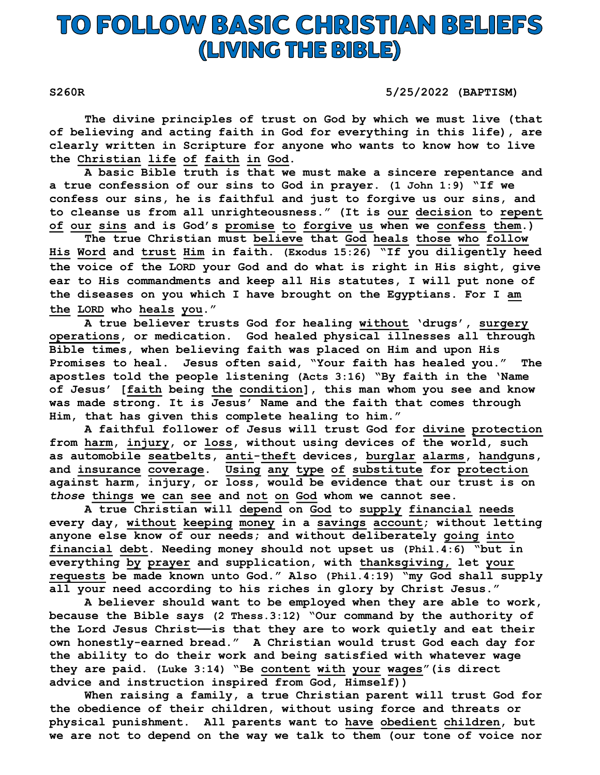## TO FOLLOW BASIC CHRISTIAN BELIEFS (LIVING THE BIBLE)

S260R 5/25/2022 (BAPTISM)

 The divine principles of trust on God by which we must live (that of believing and acting faith in God for everything in this life), are clearly written in Scripture for anyone who wants to know how to live the Christian life of faith in God.

A basic Bible truth is that we must make a sincere repentance and a true confession of our sins to God in prayer. (1 John 1:9) "If we confess our sins, he is faithful and just to forgive us our sins, and to cleanse us from all unrighteousness." (It is our decision to repent of our sins and is God's promise to forgive us when we confess them.)

 The true Christian must believe that God heals those who follow His Word and trust Him in faith. (Exodus 15:26) "If you diligently heed the voice of the LORD your God and do what is right in His sight, give ear to His commandments and keep all His statutes, I will put none of the diseases on you which I have brought on the Egyptians. For I am the LORD who heals you."

A true believer trusts God for healing without 'drugs', surgery operations, or medication. God healed physical illnesses all through Bible times, when believing faith was placed on Him and upon His Promises to heal. Jesus often said, "Your faith has healed you." The apostles told the people listening (Acts 3:16) "By faith in the 'Name of Jesus' [faith being the condition], this man whom you see and know was made strong. It is Jesus' Name and the faith that comes through Him, that has given this complete healing to him."

 A faithful follower of Jesus will trust God for divine protection from harm, injury, or loss, without using devices of the world, such as automobile seatbelts, anti-theft devices, burglar alarms, handguns, and insurance coverage. Using any type of substitute for protection against harm, injury, or loss, would be evidence that our trust is on those things we can see and not on God whom we cannot see.

 A true Christian will depend on God to supply financial needs every day, without keeping money in a savings account; without letting anyone else know of our needs; and without deliberately going into financial debt. Needing money should not upset us (Phil.4:6) "but in everything by prayer and supplication, with thanksgiving, let your requests be made known unto God." Also (Phil.4:19) "my God shall supply all your need according to his riches in glory by Christ Jesus."

 A believer should want to be employed when they are able to work, because the Bible says (2 Thess.3:12) "Our command by the authority of the Lord Jesus Christ——is that they are to work quietly and eat their own honestly-earned bread." A Christian would trust God each day for the ability to do their work and being satisfied with whatever wage they are paid. (Luke 3:14) "Be content with your wages"(is direct advice and instruction inspired from God, Himself))

 When raising a family, a true Christian parent will trust God for the obedience of their children, without using force and threats or physical punishment. All parents want to have obedient children, but we are not to depend on the way we talk to them (our tone of voice nor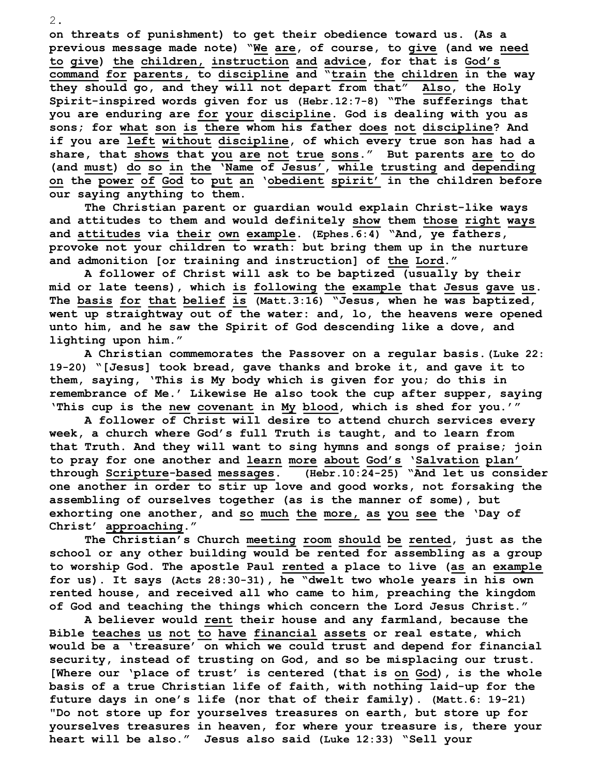on threats of punishment) to get their obedience toward us. (As a previous message made note) "We are, of course, to give (and we need to give) the children, instruction and advice, for that is God's command for parents, to discipline and "train the children in the way they should go, and they will not depart from that" Also, the Holy Spirit-inspired words given for us (Hebr.12:7-8) "The sufferings that you are enduring are for your discipline. God is dealing with you as sons; for what son is there whom his father does not discipline? And if you are left without discipline, of which every true son has had a share, that shows that you are not true sons." But parents are to do (and must) do so in the 'Name of Jesus', while trusting and depending on the power of God to put an 'obedient spirit' in the children before our saying anything to them.

The Christian parent or guardian would explain Christ-like ways and attitudes to them and would definitely show them those right ways and attitudes via their own example. (Ephes.6:4) "And, ye fathers, provoke not your children to wrath: but bring them up in the nurture and admonition [or training and instruction] of the Lord."

 A follower of Christ will ask to be baptized (usually by their mid or late teens), which is following the example that Jesus gave us. The basis for that belief is (Matt.3:16) "Jesus, when he was baptized, went up straightway out of the water: and, lo, the heavens were opened unto him, and he saw the Spirit of God descending like a dove, and lighting upon him."

 A Christian commemorates the Passover on a regular basis.(Luke 22: 19-20) "[Jesus] took bread, gave thanks and broke it, and gave it to them, saying, 'This is My body which is given for you; do this in remembrance of Me.' Likewise He also took the cup after supper, saying 'This cup is the new covenant in My blood, which is shed for you.'"

 A follower of Christ will desire to attend church services every week, a church where God's full Truth is taught, and to learn from that Truth. And they will want to sing hymns and songs of praise; join to pray for one another and learn more about God's 'Salvation plan' through Scripture-based messages. (Hebr.10:24-25) "And let us consider one another in order to stir up love and good works, not forsaking the assembling of ourselves together (as is the manner of some), but exhorting one another, and so much the more, as you see the 'Day of Christ' approaching."

 The Christian's Church meeting room should be rented, just as the school or any other building would be rented for assembling as a group to worship God. The apostle Paul rented a place to live (as an example for us). It says (Acts 28:30-31), he "dwelt two whole years in his own rented house, and received all who came to him, preaching the kingdom of God and teaching the things which concern the Lord Jesus Christ."

 A believer would rent their house and any farmland, because the Bible teaches us not to have financial assets or real estate, which would be a 'treasure' on which we could trust and depend for financial security, instead of trusting on God, and so be misplacing our trust. [Where our 'place of trust' is centered (that is on God), is the whole basis of a true Christian life of faith, with nothing laid-up for the future days in one's life (nor that of their family). (Matt.6: 19-21) "Do not store up for yourselves treasures on earth, but store up for yourselves treasures in heaven, for where your treasure is, there your heart will be also." Jesus also said (Luke 12:33) "Sell your

2.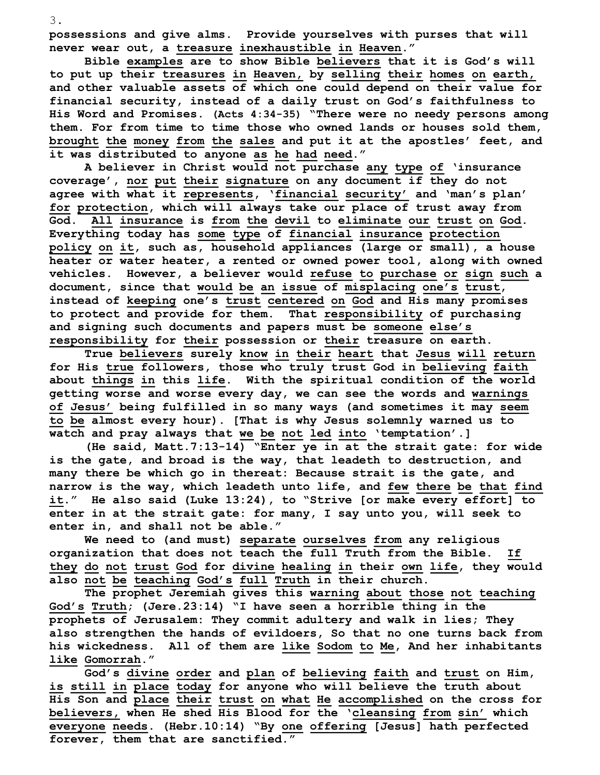possessions and give alms. Provide yourselves with purses that will never wear out, a treasure inexhaustible in Heaven."

 Bible examples are to show Bible believers that it is God's will to put up their treasures in Heaven, by selling their homes on earth, and other valuable assets of which one could depend on their value for financial security, instead of a daily trust on God's faithfulness to His Word and Promises. (Acts 4:34-35) "There were no needy persons among them. For from time to time those who owned lands or houses sold them, brought the money from the sales and put it at the apostles' feet, and it was distributed to anyone as he had need."

A believer in Christ would not purchase any type of 'insurance coverage', nor put their signature on any document if they do not agree with what it represents, 'financial security' and 'man's plan' for protection, which will always take our place of trust away from God. All insurance is from the devil to eliminate our trust on God. Everything today has some type of financial insurance protection policy on it, such as, household appliances (large or small), a house heater or water heater, a rented or owned power tool, along with owned vehicles. However, a believer would refuse to purchase or sign such a document, since that would be an issue of misplacing one's trust, instead of keeping one's trust centered on God and His many promises to protect and provide for them. That responsibility of purchasing and signing such documents and papers must be someone else's responsibility for their possession or their treasure on earth.

 True believers surely know in their heart that Jesus will return for His true followers, those who truly trust God in believing faith about things in this life. With the spiritual condition of the world getting worse and worse every day, we can see the words and warnings of Jesus' being fulfilled in so many ways (and sometimes it may seem to be almost every hour). [That is why Jesus solemnly warned us to watch and pray always that we be not led into 'temptation'.]

 (He said, Matt.7:13-14) "Enter ye in at the strait gate: for wide is the gate, and broad is the way, that leadeth to destruction, and many there be which go in thereat: Because strait is the gate, and narrow is the way, which leadeth unto life, and few there be that find it." He also said (Luke 13:24), to "Strive [or make every effort] to enter in at the strait gate: for many, I say unto you, will seek to enter in, and shall not be able."

 We need to (and must) separate ourselves from any religious organization that does not teach the full Truth from the Bible. If they do not trust God for divine healing in their own life, they would also not be teaching God's full Truth in their church.

The prophet Jeremiah gives this warning about those not teaching God's Truth; (Jere.23:14) "I have seen a horrible thing in the prophets of Jerusalem: They commit adultery and walk in lies; They also strengthen the hands of evildoers, So that no one turns back from his wickedness. All of them are like Sodom to Me, And her inhabitants like Gomorrah."

 God's divine order and plan of believing faith and trust on Him, is still in place today for anyone who will believe the truth about His Son and place their trust on what He accomplished on the cross for believers, when He shed His Blood for the 'cleansing from sin' which everyone needs. (Hebr.10:14) "By one offering [Jesus] hath perfected forever, them that are sanctified."

3.